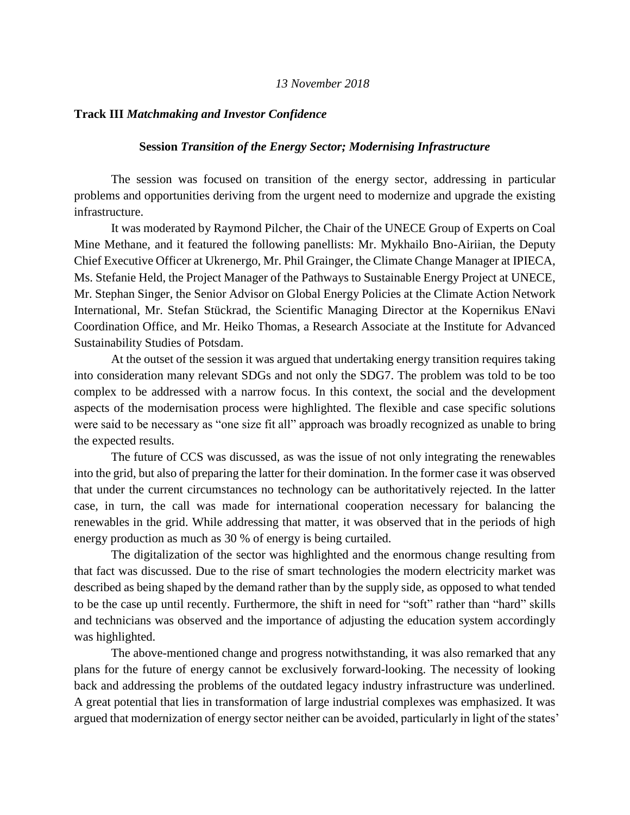## *13 November 2018*

## **Track III** *Matchmaking and Investor Confidence*

## **Session** *Transition of the Energy Sector; Modernising Infrastructure*

The session was focused on transition of the energy sector, addressing in particular problems and opportunities deriving from the urgent need to modernize and upgrade the existing infrastructure.

It was moderated by Raymond Pilcher, the Chair of the UNECE Group of Experts on Coal Mine Methane, and it featured the following panellists: Mr. Mykhailo Bno-Airiian, the Deputy Chief Executive Officer at Ukrenergo, Mr. Phil Grainger, the Climate Change Manager at IPIECA, Ms. Stefanie Held, the Project Manager of the Pathways to Sustainable Energy Project at UNECE, Mr. Stephan Singer, the Senior Advisor on Global Energy Policies at the Climate Action Network International, Mr. Stefan Stückrad, the Scientific Managing Director at the Kopernikus ENavi Coordination Office, and Mr. Heiko Thomas, a Research Associate at the Institute for Advanced Sustainability Studies of Potsdam.

At the outset of the session it was argued that undertaking energy transition requires taking into consideration many relevant SDGs and not only the SDG7. The problem was told to be too complex to be addressed with a narrow focus. In this context, the social and the development aspects of the modernisation process were highlighted. The flexible and case specific solutions were said to be necessary as "one size fit all" approach was broadly recognized as unable to bring the expected results.

The future of CCS was discussed, as was the issue of not only integrating the renewables into the grid, but also of preparing the latter for their domination. In the former case it was observed that under the current circumstances no technology can be authoritatively rejected. In the latter case, in turn, the call was made for international cooperation necessary for balancing the renewables in the grid. While addressing that matter, it was observed that in the periods of high energy production as much as 30 % of energy is being curtailed.

The digitalization of the sector was highlighted and the enormous change resulting from that fact was discussed. Due to the rise of smart technologies the modern electricity market was described as being shaped by the demand rather than by the supply side, as opposed to what tended to be the case up until recently. Furthermore, the shift in need for "soft" rather than "hard" skills and technicians was observed and the importance of adjusting the education system accordingly was highlighted.

The above-mentioned change and progress notwithstanding, it was also remarked that any plans for the future of energy cannot be exclusively forward-looking. The necessity of looking back and addressing the problems of the outdated legacy industry infrastructure was underlined. A great potential that lies in transformation of large industrial complexes was emphasized. It was argued that modernization of energy sector neither can be avoided, particularly in light of the states'